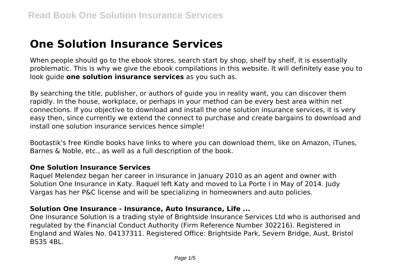# **One Solution Insurance Services**

When people should go to the ebook stores, search start by shop, shelf by shelf, it is essentially problematic. This is why we give the ebook compilations in this website. It will definitely ease you to look guide **one solution insurance services** as you such as.

By searching the title, publisher, or authors of guide you in reality want, you can discover them rapidly. In the house, workplace, or perhaps in your method can be every best area within net connections. If you objective to download and install the one solution insurance services, it is very easy then, since currently we extend the connect to purchase and create bargains to download and install one solution insurance services hence simple!

Bootastik's free Kindle books have links to where you can download them, like on Amazon, iTunes, Barnes & Noble, etc., as well as a full description of the book.

# **One Solution Insurance Services**

Raquel Melendez began her career in insurance in January 2010 as an agent and owner with Solution One Insurance in Katy. Raquel left Katy and moved to La Porte I in May of 2014. Judy Vargas has her P&C license and will be specializing in homeowners and auto policies.

#### **Solution One Insurance - Insurance, Auto Insurance, Life ...**

One Insurance Solution is a trading style of Brightside Insurance Services Ltd who is authorised and regulated by the Financial Conduct Authority (Firm Reference Number 302216). Registered in England and Wales No. 04137311. Registered Office: Brightside Park, Severn Bridge, Aust, Bristol BS35 4BL.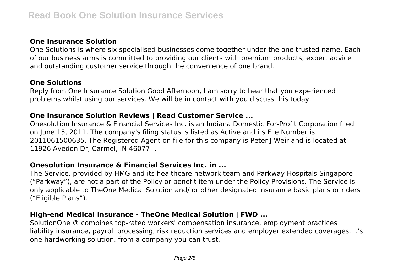# **One Insurance Solution**

One Solutions is where six specialised businesses come together under the one trusted name. Each of our business arms is committed to providing our clients with premium products, expert advice and outstanding customer service through the convenience of one brand.

#### **One Solutions**

Reply from One Insurance Solution Good Afternoon, I am sorry to hear that you experienced problems whilst using our services. We will be in contact with you discuss this today.

# **One Insurance Solution Reviews | Read Customer Service ...**

Onesolution Insurance & Financial Services Inc. is an Indiana Domestic For-Profit Corporation filed on June 15, 2011. The company's filing status is listed as Active and its File Number is 2011061500635. The Registered Agent on file for this company is Peter J Weir and is located at 11926 Avedon Dr, Carmel, IN 46077 -.

# **Onesolution Insurance & Financial Services Inc. in ...**

The Service, provided by HMG and its healthcare network team and Parkway Hospitals Singapore ("Parkway"), are not a part of the Policy or benefit item under the Policy Provisions. The Service is only applicable to TheOne Medical Solution and/ or other designated insurance basic plans or riders ("Eligible Plans").

# **High-end Medical Insurance - TheOne Medical Solution | FWD ...**

SolutionOne ® combines top-rated workers' compensation insurance, employment practices liability insurance, payroll processing, risk reduction services and employer extended coverages. It's one hardworking solution, from a company you can trust.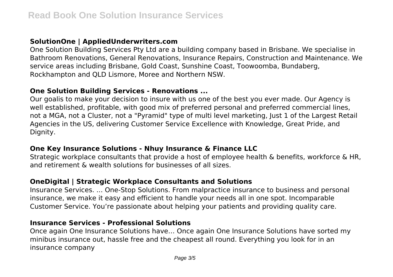# **SolutionOne | AppliedUnderwriters.com**

One Solution Building Services Pty Ltd are a building company based in Brisbane. We specialise in Bathroom Renovations, General Renovations, Insurance Repairs, Construction and Maintenance. We service areas including Brisbane, Gold Coast, Sunshine Coast, Toowoomba, Bundaberg, Rockhampton and QLD Lismore, Moree and Northern NSW.

#### **One Solution Building Services - Renovations ...**

Our goalis to make your decision to insure with us one of the best you ever made. Our Agency is well established, profitable, with good mix of preferred personal and preferred commercial lines, not a MGA, not a Cluster, not a "Pyramid" type of multi level marketing, Just 1 of the Largest Retail Agencies in the US, delivering Customer Service Excellence with Knowledge, Great Pride, and Dignity.

#### **One Key Insurance Solutions - Nhuy Insurance & Finance LLC**

Strategic workplace consultants that provide a host of employee health & benefits, workforce & HR, and retirement & wealth solutions for businesses of all sizes.

# **OneDigital | Strategic Workplace Consultants and Solutions**

Insurance Services. ... One-Stop Solutions. From malpractice insurance to business and personal insurance, we make it easy and efficient to handle your needs all in one spot. Incomparable Customer Service. You're passionate about helping your patients and providing quality care.

# **Insurance Services - Professional Solutions**

Once again One Insurance Solutions have… Once again One Insurance Solutions have sorted my minibus insurance out, hassle free and the cheapest all round. Everything you look for in an insurance company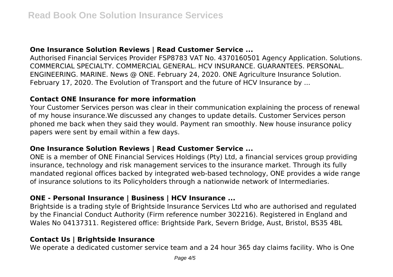# **One Insurance Solution Reviews | Read Customer Service ...**

Authorised Financial Services Provider FSP8783 VAT No. 4370160501 Agency Application. Solutions. COMMERCIAL SPECIALTY. COMMERCIAL GENERAL. HCV INSURANCE. GUARANTEES. PERSONAL. ENGINEERING. MARINE. News @ ONE. February 24, 2020. ONE Agriculture Insurance Solution. February 17, 2020. The Evolution of Transport and the future of HCV Insurance by ...

# **Contact ONE Insurance for more information**

Your Customer Services person was clear in their communication explaining the process of renewal of my house insurance.We discussed any changes to update details. Customer Services person phoned me back when they said they would. Payment ran smoothly. New house insurance policy papers were sent by email within a few days.

#### **One Insurance Solution Reviews | Read Customer Service ...**

ONE is a member of ONE Financial Services Holdings (Pty) Ltd, a financial services group providing insurance, technology and risk management services to the insurance market. Through its fully mandated regional offices backed by integrated web-based technology, ONE provides a wide range of insurance solutions to its Policyholders through a nationwide network of Intermediaries.

#### **ONE - Personal Insurance | Business | HCV Insurance ...**

Brightside is a trading style of Brightside Insurance Services Ltd who are authorised and regulated by the Financial Conduct Authority (Firm reference number 302216). Registered in England and Wales No 04137311. Registered office: Brightside Park, Severn Bridge, Aust, Bristol, BS35 4BL

#### **Contact Us | Brightside Insurance**

We operate a dedicated customer service team and a 24 hour 365 day claims facility. Who is One